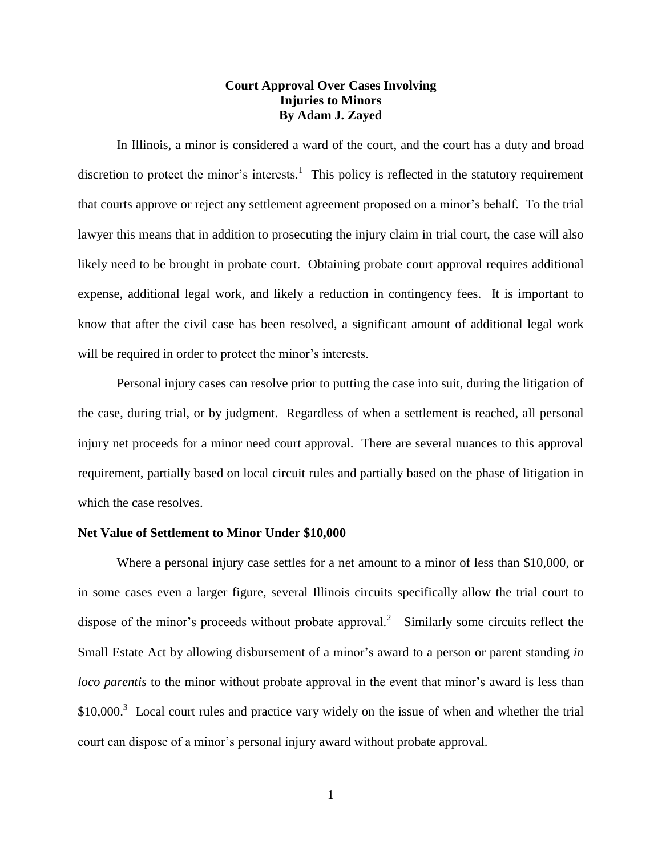# **Court Approval Over Cases Involving Injuries to Minors By Adam J. Zayed**

In Illinois, a minor is considered a ward of the court, and the court has a duty and broad discretion to protect the minor's interests.<sup>1</sup> This policy is reflected in the statutory requirement that courts approve or reject any settlement agreement proposed on a minor's behalf. To the trial lawyer this means that in addition to prosecuting the injury claim in trial court, the case will also likely need to be brought in probate court. Obtaining probate court approval requires additional expense, additional legal work, and likely a reduction in contingency fees. It is important to know that after the civil case has been resolved, a significant amount of additional legal work will be required in order to protect the minor's interests.

Personal injury cases can resolve prior to putting the case into suit, during the litigation of the case, during trial, or by judgment. Regardless of when a settlement is reached, all personal injury net proceeds for a minor need court approval. There are several nuances to this approval requirement, partially based on local circuit rules and partially based on the phase of litigation in which the case resolves.

#### **Net Value of Settlement to Minor Under \$10,000**

Where a personal injury case settles for a net amount to a minor of less than \$10,000, or in some cases even a larger figure, several Illinois circuits specifically allow the trial court to dispose of the minor's proceeds without probate approval.<sup>2</sup> Similarly some circuits reflect the Small Estate Act by allowing disbursement of a minor's award to a person or parent standing *in loco parentis* to the minor without probate approval in the event that minor's award is less than  $$10,000$ .<sup>3</sup> Local court rules and practice vary widely on the issue of when and whether the trial court can dispose of a minor's personal injury award without probate approval.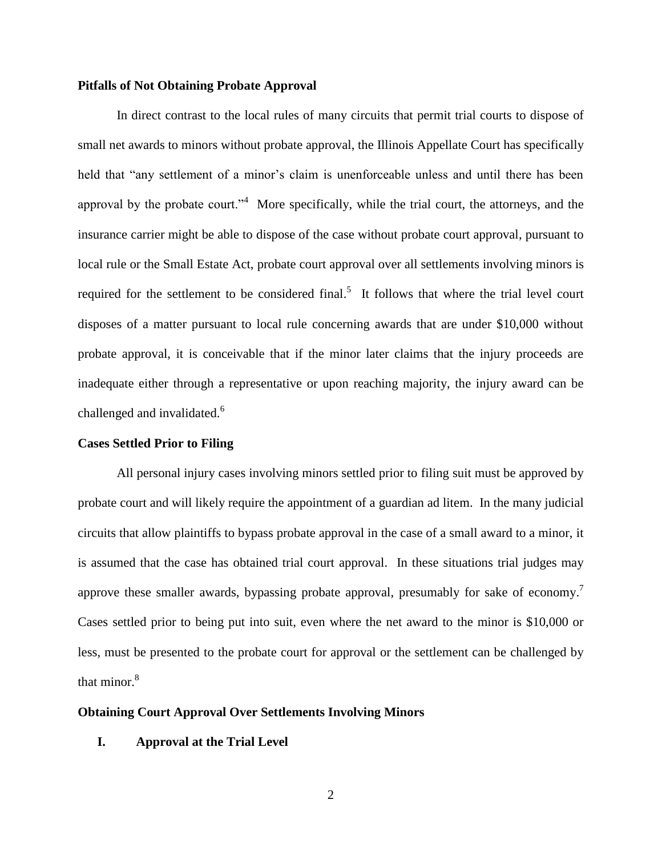## **Pitfalls of Not Obtaining Probate Approval**

In direct contrast to the local rules of many circuits that permit trial courts to dispose of small net awards to minors without probate approval, the Illinois Appellate Court has specifically held that "any settlement of a minor's claim is unenforceable unless and until there has been approval by the probate court.<sup> $n^4$ </sup> More specifically, while the trial court, the attorneys, and the insurance carrier might be able to dispose of the case without probate court approval, pursuant to local rule or the Small Estate Act, probate court approval over all settlements involving minors is required for the settlement to be considered final.<sup>5</sup> It follows that where the trial level court disposes of a matter pursuant to local rule concerning awards that are under \$10,000 without probate approval, it is conceivable that if the minor later claims that the injury proceeds are inadequate either through a representative or upon reaching majority, the injury award can be challenged and invalidated.<sup>6</sup>

## **Cases Settled Prior to Filing**

All personal injury cases involving minors settled prior to filing suit must be approved by probate court and will likely require the appointment of a guardian ad litem. In the many judicial circuits that allow plaintiffs to bypass probate approval in the case of a small award to a minor, it is assumed that the case has obtained trial court approval. In these situations trial judges may approve these smaller awards, bypassing probate approval, presumably for sake of economy.<sup>7</sup> Cases settled prior to being put into suit, even where the net award to the minor is \$10,000 or less, must be presented to the probate court for approval or the settlement can be challenged by that minor.<sup>8</sup>

# **Obtaining Court Approval Over Settlements Involving Minors**

### **I. Approval at the Trial Level**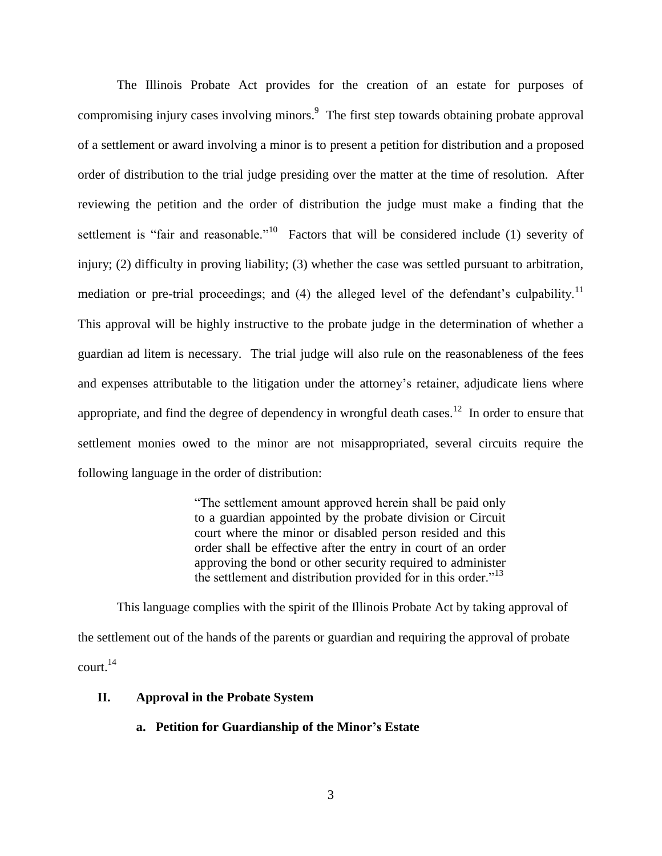The Illinois Probate Act provides for the creation of an estate for purposes of compromising injury cases involving minors.<sup>9</sup> The first step towards obtaining probate approval of a settlement or award involving a minor is to present a petition for distribution and a proposed order of distribution to the trial judge presiding over the matter at the time of resolution. After reviewing the petition and the order of distribution the judge must make a finding that the settlement is "fair and reasonable."<sup>10</sup> Factors that will be considered include (1) severity of injury; (2) difficulty in proving liability; (3) whether the case was settled pursuant to arbitration, mediation or pre-trial proceedings; and (4) the alleged level of the defendant's culpability.<sup>11</sup> This approval will be highly instructive to the probate judge in the determination of whether a guardian ad litem is necessary. The trial judge will also rule on the reasonableness of the fees and expenses attributable to the litigation under the attorney's retainer, adjudicate liens where appropriate, and find the degree of dependency in wrongful death cases.<sup>12</sup> In order to ensure that settlement monies owed to the minor are not misappropriated, several circuits require the following language in the order of distribution:

> "The settlement amount approved herein shall be paid only to a guardian appointed by the probate division or Circuit court where the minor or disabled person resided and this order shall be effective after the entry in court of an order approving the bond or other security required to administer the settlement and distribution provided for in this order."<sup>13</sup>

This language complies with the spirit of the Illinois Probate Act by taking approval of the settlement out of the hands of the parents or guardian and requiring the approval of probate  $\text{court.}^{14}$ 

## **II. Approval in the Probate System**

## **a. Petition for Guardianship of the Minor's Estate**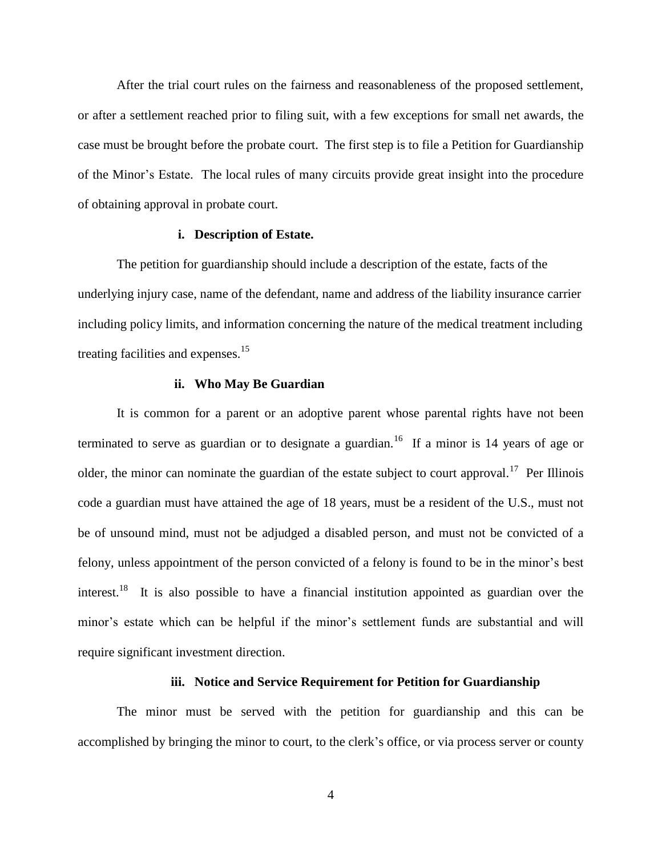After the trial court rules on the fairness and reasonableness of the proposed settlement, or after a settlement reached prior to filing suit, with a few exceptions for small net awards, the case must be brought before the probate court. The first step is to file a Petition for Guardianship of the Minor's Estate. The local rules of many circuits provide great insight into the procedure of obtaining approval in probate court.

## **i. Description of Estate.**

The petition for guardianship should include a description of the estate, facts of the underlying injury case, name of the defendant, name and address of the liability insurance carrier including policy limits, and information concerning the nature of the medical treatment including treating facilities and expenses.<sup>15</sup>

#### **ii. Who May Be Guardian**

It is common for a parent or an adoptive parent whose parental rights have not been terminated to serve as guardian or to designate a guardian.<sup>16</sup> If a minor is 14 years of age or older, the minor can nominate the guardian of the estate subject to court approval.<sup>17</sup> Per Illinois code a guardian must have attained the age of 18 years, must be a resident of the U.S., must not be of unsound mind, must not be adjudged a disabled person, and must not be convicted of a felony, unless appointment of the person convicted of a felony is found to be in the minor's best interest.<sup>18</sup> It is also possible to have a financial institution appointed as guardian over the minor's estate which can be helpful if the minor's settlement funds are substantial and will require significant investment direction.

## **iii. Notice and Service Requirement for Petition for Guardianship**

The minor must be served with the petition for guardianship and this can be accomplished by bringing the minor to court, to the clerk's office, or via process server or county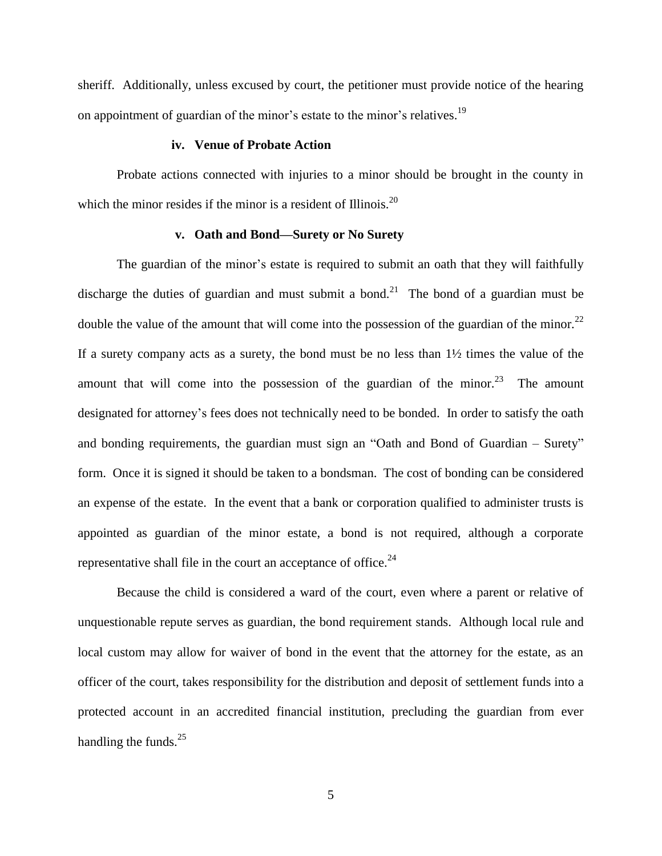sheriff. Additionally, unless excused by court, the petitioner must provide notice of the hearing on appointment of guardian of the minor's estate to the minor's relatives.<sup>19</sup>

## **iv. Venue of Probate Action**

Probate actions connected with injuries to a minor should be brought in the county in which the minor resides if the minor is a resident of Illinois. $2^{0}$ 

#### **v. Oath and Bond—Surety or No Surety**

The guardian of the minor's estate is required to submit an oath that they will faithfully discharge the duties of guardian and must submit a bond.<sup>21</sup> The bond of a guardian must be double the value of the amount that will come into the possession of the guardian of the minor.<sup>22</sup> If a surety company acts as a surety, the bond must be no less than  $1\frac{1}{2}$  times the value of the amount that will come into the possession of the guardian of the minor.<sup>23</sup> The amount designated for attorney's fees does not technically need to be bonded. In order to satisfy the oath and bonding requirements, the guardian must sign an "Oath and Bond of Guardian – Surety" form. Once it is signed it should be taken to a bondsman. The cost of bonding can be considered an expense of the estate. In the event that a bank or corporation qualified to administer trusts is appointed as guardian of the minor estate, a bond is not required, although a corporate representative shall file in the court an acceptance of office. $24$ 

Because the child is considered a ward of the court, even where a parent or relative of unquestionable repute serves as guardian, the bond requirement stands. Although local rule and local custom may allow for waiver of bond in the event that the attorney for the estate, as an officer of the court, takes responsibility for the distribution and deposit of settlement funds into a protected account in an accredited financial institution, precluding the guardian from ever handling the funds. $25$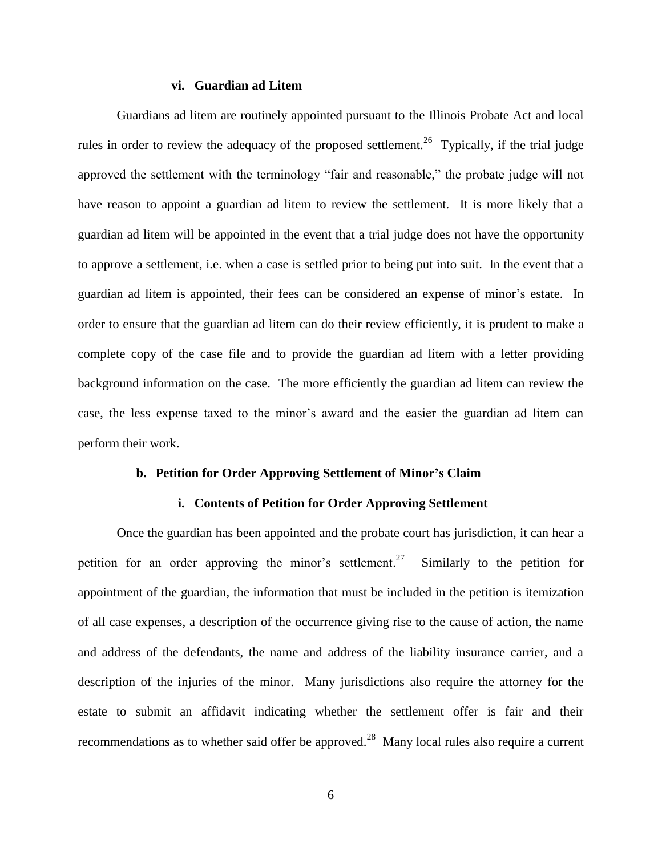### **vi. Guardian ad Litem**

Guardians ad litem are routinely appointed pursuant to the Illinois Probate Act and local rules in order to review the adequacy of the proposed settlement.<sup>26</sup> Typically, if the trial judge approved the settlement with the terminology "fair and reasonable," the probate judge will not have reason to appoint a guardian ad litem to review the settlement. It is more likely that a guardian ad litem will be appointed in the event that a trial judge does not have the opportunity to approve a settlement, i.e. when a case is settled prior to being put into suit. In the event that a guardian ad litem is appointed, their fees can be considered an expense of minor's estate. In order to ensure that the guardian ad litem can do their review efficiently, it is prudent to make a complete copy of the case file and to provide the guardian ad litem with a letter providing background information on the case. The more efficiently the guardian ad litem can review the case, the less expense taxed to the minor's award and the easier the guardian ad litem can perform their work.

### **b. Petition for Order Approving Settlement of Minor's Claim**

### **i. Contents of Petition for Order Approving Settlement**

Once the guardian has been appointed and the probate court has jurisdiction, it can hear a petition for an order approving the minor's settlement.<sup>27</sup> Similarly to the petition for appointment of the guardian, the information that must be included in the petition is itemization of all case expenses, a description of the occurrence giving rise to the cause of action, the name and address of the defendants, the name and address of the liability insurance carrier, and a description of the injuries of the minor. Many jurisdictions also require the attorney for the estate to submit an affidavit indicating whether the settlement offer is fair and their recommendations as to whether said offer be approved.<sup>28</sup> Many local rules also require a current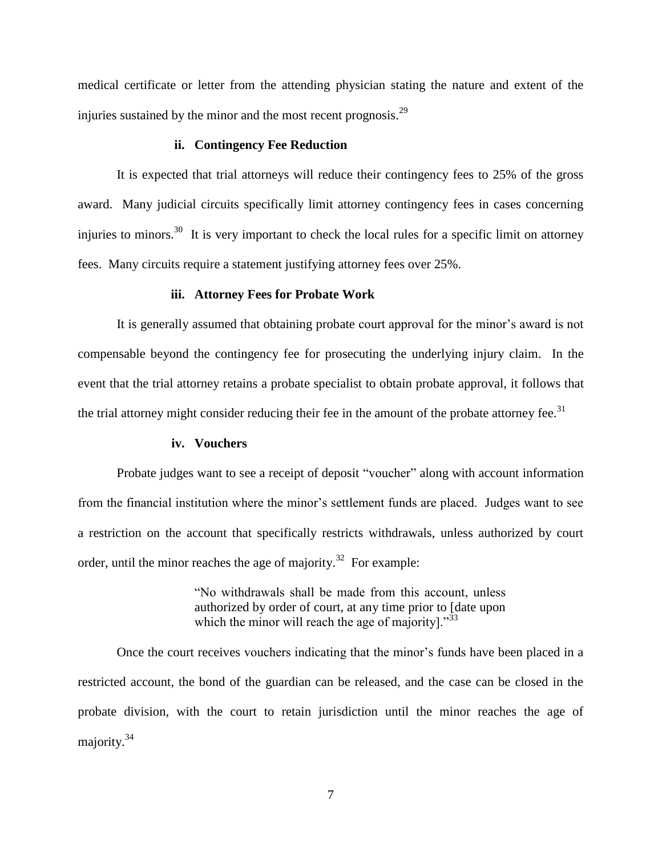medical certificate or letter from the attending physician stating the nature and extent of the injuries sustained by the minor and the most recent prognosis. $^{29}$ 

### **ii. Contingency Fee Reduction**

It is expected that trial attorneys will reduce their contingency fees to 25% of the gross award. Many judicial circuits specifically limit attorney contingency fees in cases concerning injuries to minors.<sup>30</sup> It is very important to check the local rules for a specific limit on attorney fees. Many circuits require a statement justifying attorney fees over 25%.

#### **iii. Attorney Fees for Probate Work**

It is generally assumed that obtaining probate court approval for the minor's award is not compensable beyond the contingency fee for prosecuting the underlying injury claim. In the event that the trial attorney retains a probate specialist to obtain probate approval, it follows that the trial attorney might consider reducing their fee in the amount of the probate attorney fee. $31$ 

#### **iv. Vouchers**

Probate judges want to see a receipt of deposit "voucher" along with account information from the financial institution where the minor's settlement funds are placed. Judges want to see a restriction on the account that specifically restricts withdrawals, unless authorized by court order, until the minor reaches the age of majority.<sup>32</sup> For example:

> "No withdrawals shall be made from this account, unless authorized by order of court, at any time prior to [date upon which the minor will reach the age of majority]. $^{33}$

Once the court receives vouchers indicating that the minor's funds have been placed in a restricted account, the bond of the guardian can be released, and the case can be closed in the probate division, with the court to retain jurisdiction until the minor reaches the age of majority.<sup>34</sup>

7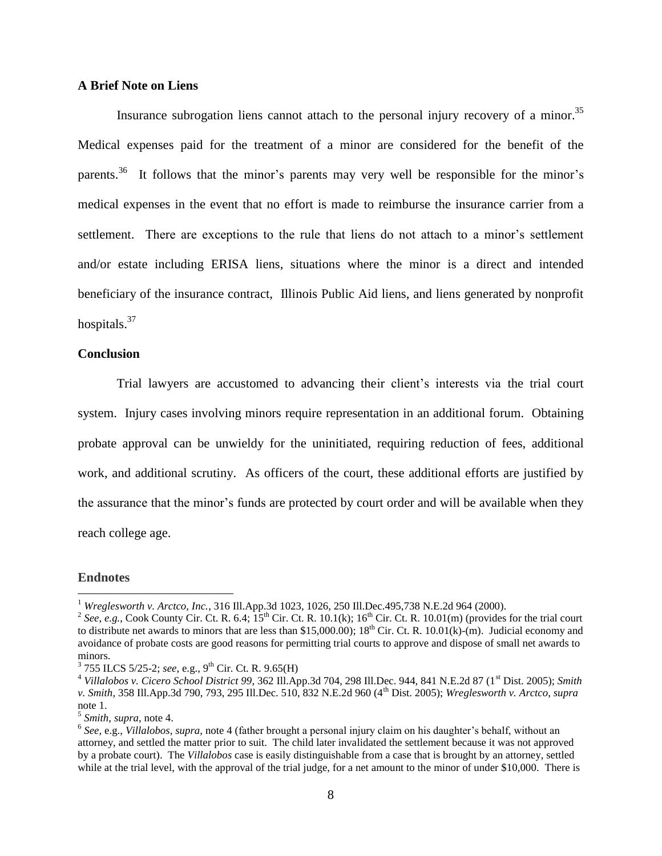## **A Brief Note on Liens**

Insurance subrogation liens cannot attach to the personal injury recovery of a minor.<sup>35</sup> Medical expenses paid for the treatment of a minor are considered for the benefit of the parents.<sup>36</sup> It follows that the minor's parents may very well be responsible for the minor's medical expenses in the event that no effort is made to reimburse the insurance carrier from a settlement. There are exceptions to the rule that liens do not attach to a minor's settlement and/or estate including ERISA liens, situations where the minor is a direct and intended beneficiary of the insurance contract, Illinois Public Aid liens, and liens generated by nonprofit hospitals.<sup>37</sup>

### **Conclusion**

Trial lawyers are accustomed to advancing their client's interests via the trial court system. Injury cases involving minors require representation in an additional forum. Obtaining probate approval can be unwieldy for the uninitiated, requiring reduction of fees, additional work, and additional scrutiny. As officers of the court, these additional efforts are justified by the assurance that the minor's funds are protected by court order and will be available when they reach college age.

### **Endnotes**

 $\overline{a}$ 

<sup>&</sup>lt;sup>1</sup> *Wreglesworth v. Arctco, Inc.*, 316 Ill.App.3d 1023, 1026, 250 Ill.Dec.495,738 N.E.2d 964 (2000).

<sup>&</sup>lt;sup>2</sup> See, e.g., Cook County Cir. Ct. R. 6.4;  $15^{th}$  Cir. Ct. R. 10.1(k);  $16^{th}$  Cir. Ct. R. 10.01(m) (provides for the trial court to distribute net awards to minors that are less than \$15,000.00);  $18<sup>th</sup>$  Cir. Ct. R. 10.01(k)-(m). Judicial economy and avoidance of probate costs are good reasons for permitting trial courts to approve and dispose of small net awards to minors.

<sup>&</sup>lt;sup>3</sup> 755 ILCS 5/25-2; see, e.g., 9<sup>th</sup> Cir. Ct. R. 9.65(H)

<sup>4</sup> *Villalobos v. Cicero School District 99*, 362 Ill.App.3d 704, 298 Ill.Dec. 944, 841 N.E.2d 87 (1st Dist. 2005); *Smith v. Smith*, 358 Ill.App.3d 790, 793, 295 Ill.Dec. 510, 832 N.E.2d 960 (4th Dist. 2005); *Wreglesworth v. Arctco*, *supra* note 1.

<sup>5</sup> *Smith*, *supra*, note 4.

<sup>6</sup> *See,* e.g., *Villalobos*, *supra,* note 4 (father brought a personal injury claim on his daughter's behalf, without an attorney, and settled the matter prior to suit. The child later invalidated the settlement because it was not approved by a probate court). The *Villalobos* case is easily distinguishable from a case that is brought by an attorney, settled while at the trial level, with the approval of the trial judge, for a net amount to the minor of under \$10,000. There is